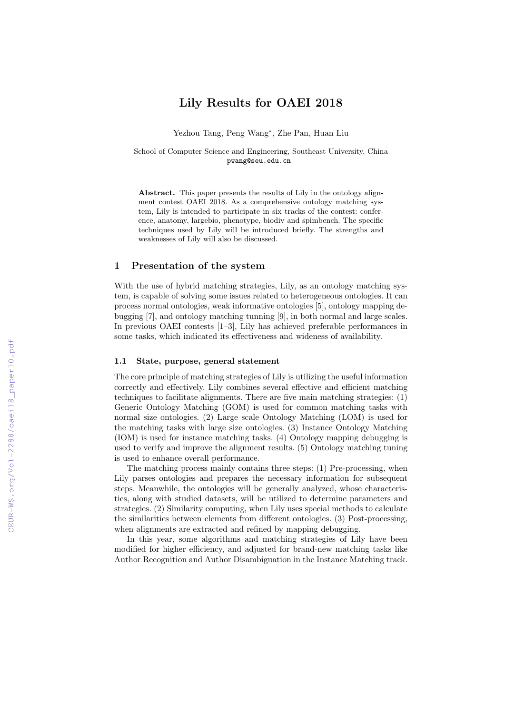# Lily Results for OAEI 2018

Yezhou Tang, Peng Wang<sup>∗</sup> , Zhe Pan, Huan Liu

School of Computer Science and Engineering, Southeast University, China pwang@seu.edu.cn

Abstract. This paper presents the results of Lily in the ontology alignment contest OAEI 2018. As a comprehensive ontology matching system, Lily is intended to participate in six tracks of the contest: conference, anatomy, largebio, phenotype, biodiv and spimbench. The specific techniques used by Lily will be introduced briefly. The strengths and weaknesses of Lily will also be discussed.

#### 1 Presentation of the system

With the use of hybrid matching strategies, Lily, as an ontology matching system, is capable of solving some issues related to heterogeneous ontologies. It can process normal ontologies, weak informative ontologies [5], ontology mapping debugging [7], and ontology matching tunning [9], in both normal and large scales. In previous OAEI contests [1–3], Lily has achieved preferable performances in some tasks, which indicated its effectiveness and wideness of availability.

#### 1.1 State, purpose, general statement

The core principle of matching strategies of Lily is utilizing the useful information correctly and effectively. Lily combines several effective and efficient matching techniques to facilitate alignments. There are five main matching strategies: (1) Generic Ontology Matching (GOM) is used for common matching tasks with normal size ontologies. (2) Large scale Ontology Matching (LOM) is used for the matching tasks with large size ontologies. (3) Instance Ontology Matching (IOM) is used for instance matching tasks. (4) Ontology mapping debugging is used to verify and improve the alignment results. (5) Ontology matching tuning is used to enhance overall performance.

The matching process mainly contains three steps: (1) Pre-processing, when Lily parses ontologies and prepares the necessary information for subsequent steps. Meanwhile, the ontologies will be generally analyzed, whose characteristics, along with studied datasets, will be utilized to determine parameters and strategies. (2) Similarity computing, when Lily uses special methods to calculate the similarities between elements from different ontologies. (3) Post-processing, when alignments are extracted and refined by mapping debugging.

In this year, some algorithms and matching strategies of Lily have been modified for higher efficiency, and adjusted for brand-new matching tasks like Author Recognition and Author Disambiguation in the Instance Matching track.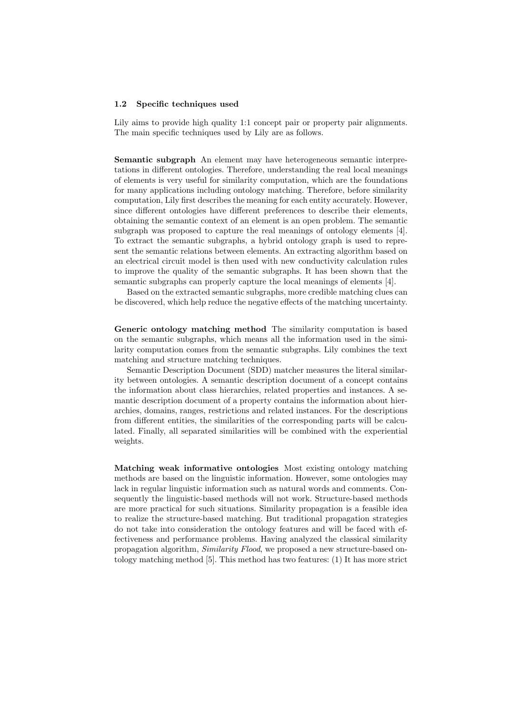#### 1.2 Specific techniques used

Lily aims to provide high quality 1:1 concept pair or property pair alignments. The main specific techniques used by Lily are as follows.

Semantic subgraph An element may have heterogeneous semantic interpretations in different ontologies. Therefore, understanding the real local meanings of elements is very useful for similarity computation, which are the foundations for many applications including ontology matching. Therefore, before similarity computation, Lily first describes the meaning for each entity accurately. However, since different ontologies have different preferences to describe their elements, obtaining the semantic context of an element is an open problem. The semantic subgraph was proposed to capture the real meanings of ontology elements [4]. To extract the semantic subgraphs, a hybrid ontology graph is used to represent the semantic relations between elements. An extracting algorithm based on an electrical circuit model is then used with new conductivity calculation rules to improve the quality of the semantic subgraphs. It has been shown that the semantic subgraphs can properly capture the local meanings of elements [4].

Based on the extracted semantic subgraphs, more credible matching clues can be discovered, which help reduce the negative effects of the matching uncertainty.

Generic ontology matching method The similarity computation is based on the semantic subgraphs, which means all the information used in the similarity computation comes from the semantic subgraphs. Lily combines the text matching and structure matching techniques.

Semantic Description Document (SDD) matcher measures the literal similarity between ontologies. A semantic description document of a concept contains the information about class hierarchies, related properties and instances. A semantic description document of a property contains the information about hierarchies, domains, ranges, restrictions and related instances. For the descriptions from different entities, the similarities of the corresponding parts will be calculated. Finally, all separated similarities will be combined with the experiential weights.

Matching weak informative ontologies Most existing ontology matching methods are based on the linguistic information. However, some ontologies may lack in regular linguistic information such as natural words and comments. Consequently the linguistic-based methods will not work. Structure-based methods are more practical for such situations. Similarity propagation is a feasible idea to realize the structure-based matching. But traditional propagation strategies do not take into consideration the ontology features and will be faced with effectiveness and performance problems. Having analyzed the classical similarity propagation algorithm, Similarity Flood, we proposed a new structure-based ontology matching method [5]. This method has two features: (1) It has more strict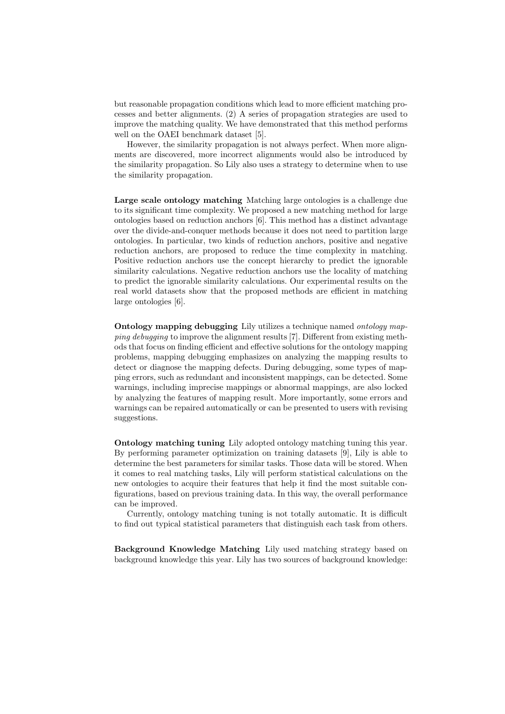but reasonable propagation conditions which lead to more efficient matching processes and better alignments. (2) A series of propagation strategies are used to improve the matching quality. We have demonstrated that this method performs well on the OAEI benchmark dataset [5].

However, the similarity propagation is not always perfect. When more alignments are discovered, more incorrect alignments would also be introduced by the similarity propagation. So Lily also uses a strategy to determine when to use the similarity propagation.

Large scale ontology matching Matching large ontologies is a challenge due to its significant time complexity. We proposed a new matching method for large ontologies based on reduction anchors [6]. This method has a distinct advantage over the divide-and-conquer methods because it does not need to partition large ontologies. In particular, two kinds of reduction anchors, positive and negative reduction anchors, are proposed to reduce the time complexity in matching. Positive reduction anchors use the concept hierarchy to predict the ignorable similarity calculations. Negative reduction anchors use the locality of matching to predict the ignorable similarity calculations. Our experimental results on the real world datasets show that the proposed methods are efficient in matching large ontologies [6].

Ontology mapping debugging Lily utilizes a technique named ontology mapping debugging to improve the alignment results [7]. Different from existing methods that focus on finding efficient and effective solutions for the ontology mapping problems, mapping debugging emphasizes on analyzing the mapping results to detect or diagnose the mapping defects. During debugging, some types of mapping errors, such as redundant and inconsistent mappings, can be detected. Some warnings, including imprecise mappings or abnormal mappings, are also locked by analyzing the features of mapping result. More importantly, some errors and warnings can be repaired automatically or can be presented to users with revising suggestions.

Ontology matching tuning Lily adopted ontology matching tuning this year. By performing parameter optimization on training datasets [9], Lily is able to determine the best parameters for similar tasks. Those data will be stored. When it comes to real matching tasks, Lily will perform statistical calculations on the new ontologies to acquire their features that help it find the most suitable configurations, based on previous training data. In this way, the overall performance can be improved.

Currently, ontology matching tuning is not totally automatic. It is difficult to find out typical statistical parameters that distinguish each task from others.

Background Knowledge Matching Lily used matching strategy based on background knowledge this year. Lily has two sources of background knowledge: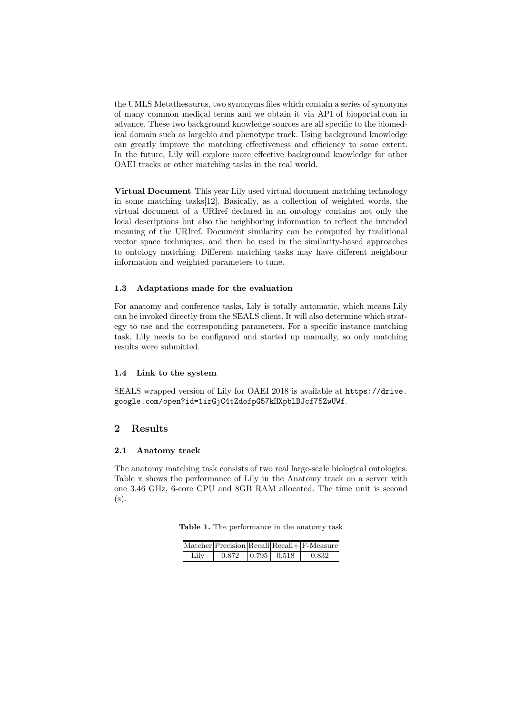the UMLS Metathesaurus, two synonyms files which contain a series of synonyms of many common medical terms and we obtain it via API of bioportal.com in advance. These two background knowledge sources are all specific to the biomedical domain such as largebio and phenotype track. Using background knowledge can greatly improve the matching effectiveness and efficiency to some extent. In the future, Lily will explore more effective background knowledge for other OAEI tracks or other matching tasks in the real world.

Virtual Document This year Lily used virtual document matching technology in some matching tasks[12]. Basically, as a collection of weighted words, the virtual document of a URIref declared in an ontology contains not only the local descriptions but also the neighboring information to reflect the intended meaning of the URIref. Document similarity can be computed by traditional vector space techniques, and then be used in the similarity-based approaches to ontology matching. Different matching tasks may have different neighbour information and weighted parameters to tune.

### 1.3 Adaptations made for the evaluation

For anatomy and conference tasks, Lily is totally automatic, which means Lily can be invoked directly from the SEALS client. It will also determine which strategy to use and the corresponding parameters. For a specific instance matching task, Lily needs to be configured and started up manually, so only matching results were submitted.

#### 1.4 Link to the system

SEALS wrapped version of Lily for OAEI 2018 is available at https://drive. google.com/open?id=1irGjC4tZdofpG57kHXpblBJcf75ZwUWf.

### 2 Results

### 2.1 Anatomy track

The anatomy matching task consists of two real large-scale biological ontologies. Table x shows the performance of Lily in the Anatomy track on a server with one 3.46 GHz, 6-core CPU and 8GB RAM allocated. The time unit is second  $(s)$ .

Table 1. The performance in the anatomy task

|      |       |                         | $Matcher Precision Recall Recall + F-Measure $ |
|------|-------|-------------------------|------------------------------------------------|
| Lily | 0.872 | $\mid 0.795 \mid 0.518$ | 0.832                                          |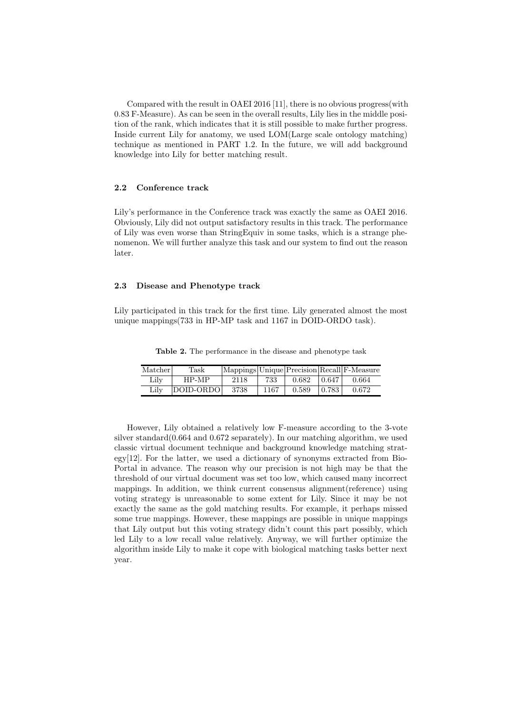Compared with the result in OAEI 2016 [11], there is no obvious progress(with 0.83 F-Measure). As can be seen in the overall results, Lily lies in the middle position of the rank, which indicates that it is still possible to make further progress. Inside current Lily for anatomy, we used LOM(Large scale ontology matching) technique as mentioned in PART 1.2. In the future, we will add background knowledge into Lily for better matching result.

#### 2.2 Conference track

Lily's performance in the Conference track was exactly the same as OAEI 2016. Obviously, Lily did not output satisfactory results in this track. The performance of Lily was even worse than StringEquiv in some tasks, which is a strange phenomenon. We will further analyze this task and our system to find out the reason later.

### 2.3 Disease and Phenotype track

Lily participated in this track for the first time. Lily generated almost the most unique mappings(733 in HP-MP task and 1167 in DOID-ORDO task).

Table 2. The performance in the disease and phenotype task

| Matcher | Task      |      |      |       |        | $ \text{Mappings} $ Unique $ \text{Precision} $ Recall $ \text{F-Measure} $ |
|---------|-----------|------|------|-------|--------|-----------------------------------------------------------------------------|
| Lilv    | $HP-MP$   | 2118 | 733  | 0.682 | 0.647  | 0.664                                                                       |
| Lilv    | DOID-ORDO | 3738 | 1167 | 0.589 | 10.783 | 0.672                                                                       |

However, Lily obtained a relatively low F-measure according to the 3-vote silver standard $(0.664$  and  $0.672$  separately). In our matching algorithm, we used classic virtual document technique and background knowledge matching strategy[12]. For the latter, we used a dictionary of synonyms extracted from Bio-Portal in advance. The reason why our precision is not high may be that the threshold of our virtual document was set too low, which caused many incorrect mappings. In addition, we think current consensus alignment(reference) using voting strategy is unreasonable to some extent for Lily. Since it may be not exactly the same as the gold matching results. For example, it perhaps missed some true mappings. However, these mappings are possible in unique mappings that Lily output but this voting strategy didn't count this part possibly, which led Lily to a low recall value relatively. Anyway, we will further optimize the algorithm inside Lily to make it cope with biological matching tasks better next year.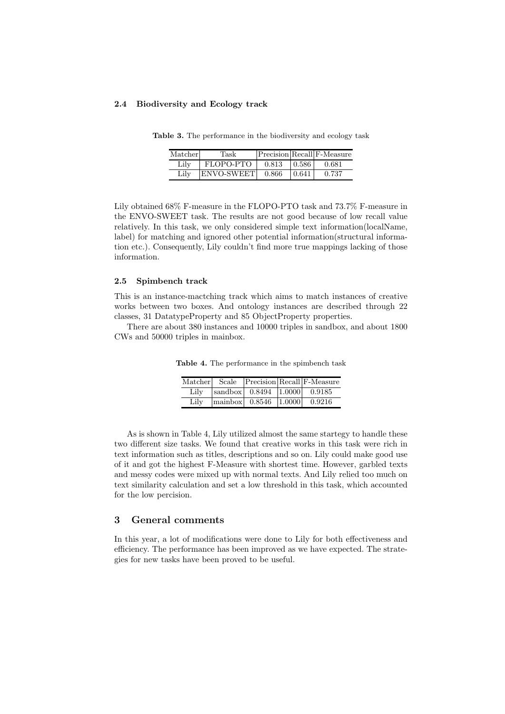#### 2.4 Biodiversity and Ecology track

| Matcherl | Task        |       |       | $ Precision Recall F-Measure $ |
|----------|-------------|-------|-------|--------------------------------|
| Lily     | FLOPO-PTO   | 0.813 | 0.586 | 0.681                          |
| Lilv     | 'ENVO-SWEET | 0.866 | 0.641 | 0.737                          |

Table 3. The performance in the biodiversity and ecology task

Lily obtained 68% F-measure in the FLOPO-PTO task and 73.7% F-measure in the ENVO-SWEET task. The results are not good because of low recall value relatively. In this task, we only considered simple text information(localName, label) for matching and ignored other potential information(structural information etc.). Consequently, Lily couldn't find more true mappings lacking of those information.

#### 2.5 Spimbench track

This is an instance-mactching track which aims to match instances of creative works between two boxes. And ontology instances are described through 22 classes, 31 DatatypeProperty and 85 ObjectProperty properties.

There are about 380 instances and 10000 triples in sandbox, and about 1800 CWs and 50000 triples in mainbox.

|      |                                                               | Matcher   Scale   Precision   Recall F-Measure |
|------|---------------------------------------------------------------|------------------------------------------------|
| Lily | $ sandbox $ 0.8494 $ 1.0000 $ 0.9185                          |                                                |
| Lily | $\lfloor \frac{\text{mainbox}}{\text{0.8546}} \rfloor$ 1.0000 | 0.9216                                         |

Table 4. The performance in the spimbench task

As is shown in Table 4, Lily utilized almost the same startegy to handle these two different size tasks. We found that creative works in this task were rich in text information such as titles, descriptions and so on. Lily could make good use of it and got the highest F-Measure with shortest time. However, garbled texts and messy codes were mixed up with normal texts. And Lily relied too much on text similarity calculation and set a low threshold in this task, which accounted for the low percision.

# 3 General comments

In this year, a lot of modifications were done to Lily for both effectiveness and efficiency. The performance has been improved as we have expected. The strategies for new tasks have been proved to be useful.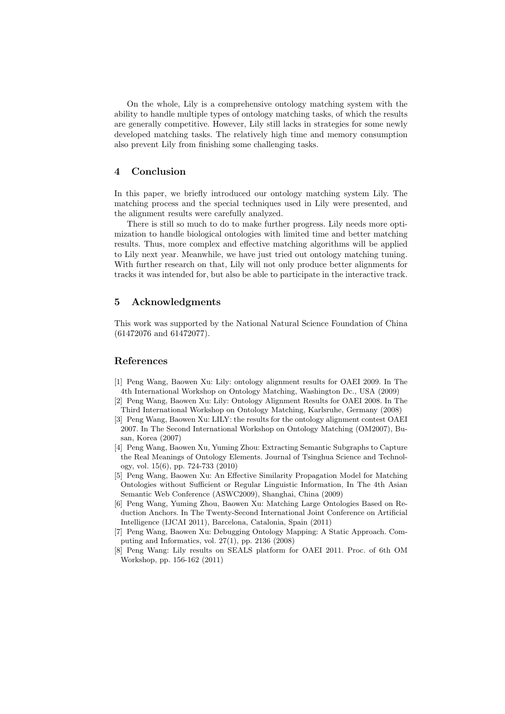On the whole, Lily is a comprehensive ontology matching system with the ability to handle multiple types of ontology matching tasks, of which the results are generally competitive. However, Lily still lacks in strategies for some newly developed matching tasks. The relatively high time and memory consumption also prevent Lily from finishing some challenging tasks.

# 4 Conclusion

In this paper, we briefly introduced our ontology matching system Lily. The matching process and the special techniques used in Lily were presented, and the alignment results were carefully analyzed.

There is still so much to do to make further progress. Lily needs more optimization to handle biological ontologies with limited time and better matching results. Thus, more complex and effective matching algorithms will be applied to Lily next year. Meanwhile, we have just tried out ontology matching tuning. With further research on that, Lily will not only produce better alignments for tracks it was intended for, but also be able to participate in the interactive track.

# 5 Acknowledgments

This work was supported by the National Natural Science Foundation of China (61472076 and 61472077).

# References

- [1] Peng Wang, Baowen Xu: Lily: ontology alignment results for OAEI 2009. In The 4th International Workshop on Ontology Matching, Washington Dc., USA (2009)
- [2] Peng Wang, Baowen Xu: Lily: Ontology Alignment Results for OAEI 2008. In The Third International Workshop on Ontology Matching, Karlsruhe, Germany (2008)
- [3] Peng Wang, Baowen Xu: LILY: the results for the ontology alignment contest OAEI 2007. In The Second International Workshop on Ontology Matching (OM2007), Busan, Korea (2007)
- [4] Peng Wang, Baowen Xu, Yuming Zhou: Extracting Semantic Subgraphs to Capture the Real Meanings of Ontology Elements. Journal of Tsinghua Science and Technology, vol. 15(6), pp. 724-733 (2010)
- [5] Peng Wang, Baowen Xu: An Effective Similarity Propagation Model for Matching Ontologies without Sufficient or Regular Linguistic Information, In The 4th Asian Semantic Web Conference (ASWC2009), Shanghai, China (2009)
- [6] Peng Wang, Yuming Zhou, Baowen Xu: Matching Large Ontologies Based on Reduction Anchors. In The Twenty-Second International Joint Conference on Artificial Intelligence (IJCAI 2011), Barcelona, Catalonia, Spain (2011)
- [7] Peng Wang, Baowen Xu: Debugging Ontology Mapping: A Static Approach. Computing and Informatics, vol. 27(1), pp. 2136 (2008)
- [8] Peng Wang: Lily results on SEALS platform for OAEI 2011. Proc. of 6th OM Workshop, pp. 156-162 (2011)